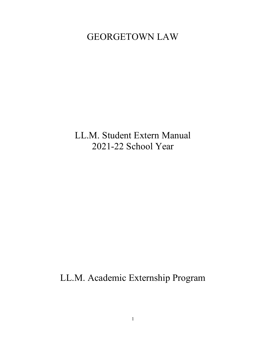# GEORGETOWN LAW

LL.M. Student Extern Manual 2021-22 School Year

LL.M. Academic Externship Program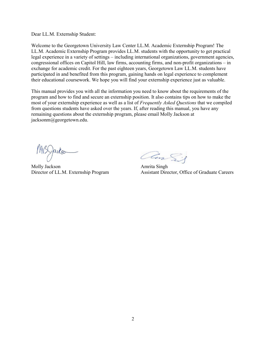Dear LL.M. Externship Student:

Welcome to the Georgetown University Law Center LL.M. Academic Externship Program! The LL.M. Academic Externship Program provides LL.M. students with the opportunity to get practical legal experience in a variety of settings – including international organizations, government agencies, congressional offices on Capitol Hill, law firms, accounting firms, and non-profit organizations – in exchange for academic credit. For the past eighteen years, Georgetown Law LL.M. students have participated in and benefited from this program, gaining hands on legal experience to complement their educational coursework. We hope you will find your externship experience just as valuable.

This manual provides you with all the information you need to know about the requirements of the program and how to find and secure an externship position. It also contains tips on how to make the most of your externship experience as well as a list of *Frequently Asked Questions* that we compiled from questions students have asked over the years. If, after reading this manual, you have any remaining questions about the externship program, please email Molly Jackson at jacksonm@georgetown.edu.

 $MISQakso$ <br>
Molly Jackson<br>
Director of LL.M. Externship Program<br>
Assistant Director, Officers

Assistant Director, Office of Graduate Careers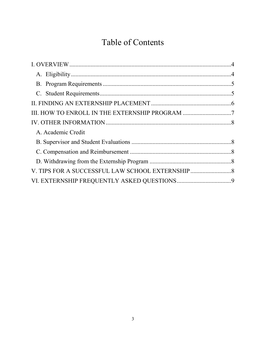# Table of Contents

| III. HOW TO ENROLL IN THE EXTERNSHIP PROGRAM 7    |
|---------------------------------------------------|
|                                                   |
|                                                   |
|                                                   |
|                                                   |
|                                                   |
| V. TIPS FOR A SUCCESSFUL LAW SCHOOL EXTERNSHIP  8 |
|                                                   |
|                                                   |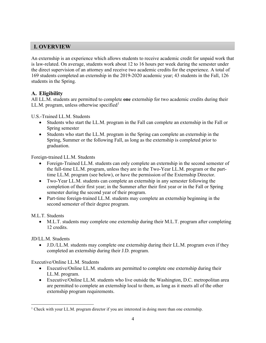# <span id="page-3-0"></span>**I. OVERVIEW**

An externship is an experience which allows students to receive academic credit for unpaid work that is law-related. On average, students work about 12 to 16 hours per week during the semester under the direct supervision of an attorney and receive two academic credits for the experience. A total of 169 students completed an externship in the 2019-2020 academic year; 43 students in the Fall, 126 students in the Spring.

# <span id="page-3-1"></span>**A. Eligibility**

All LL.M. students are permitted to complete **one** externship for two academic credits during their LL.M. program, unless otherwise specified<sup>[1](#page-3-2)</sup>

U.S.-Trained LL.M. Students

- Students who start the LL.M. program in the Fall can complete an externship in the Fall or Spring semester
- Students who start the LL.M. program in the Spring can complete an externship in the Spring, Summer or the following Fall, as long as the externship is completed prior to graduation.

Foreign-trained LL.M. Students

- Foreign-Trained LL.M. students can only complete an externship in the second semester of the full-time LL.M. program, unless they are in the Two-Year LL.M. program or the parttime LL.M. program (see below), or have the permission of the Externship Director.
- Two-Year LL.M. students can complete an externship in any semester following the completion of their first year; in the Summer after their first year or in the Fall or Spring semester during the second year of their program.
- Part-time foreign-trained LL.M. students may complete an externship beginning in the second semester of their degree program.

M.L.T. Students

• M.L.T. students may complete one externship during their M.L.T. program after completing 12 credits.

JD/LL.M. Students

• J.D./LL.M. students may complete one externship during their LL.M. program even if they completed an externship during their J.D. program.

Executive/Online LL.M. Students

- Executive/Online LL.M. students are permitted to complete one externship during their LL.M. program.
- Executive/Online LL.M. students who live outside the Washington, D.C. metropolitan area are permitted to complete an externship local to them, as long as it meets all of the other externship program requirements.

<span id="page-3-2"></span> $\overline{a}$ <sup>1</sup> Check with your LL.M. program director if you are interested in doing more than one externship.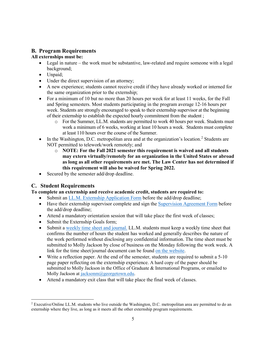# <span id="page-4-0"></span>**B. Program Requirements**

# **All externships must be:**

- Legal in nature the work must be substantive, law-related and require someone with a legal background;
- Unpaid;
- Under the direct supervision of an attorney;
- A new experience; students cannot receive credit if they have already worked or interned for the same organization prior to the externship;
- For a minimum of 10 but no more than 20 hours per week for at least 11 weeks, for the Fall and Spring semesters. Most students participating in the program average 12-16 hours per week. Students are strongly encouraged to speak to their externship supervisor at the beginning of their externship to establish the expected hourly commitment from the student ;
	- o For the Summer, LL.M. students are permitted to work 40 hours per week. Students must work a minimum of 6 weeks, working at least 10 hours a week. Students must complete at least 110 hours over the course of the Summer.
- In the Washington, D.C. metropolitan area and at the organization's location.<sup>[2](#page-4-2)</sup> Students are NOT permitted to telework/work remotely; and
	- o **NOTE: For the Fall 2021 semester this requirement is waived and all students may extern virtually/remotely for an organization in the United States or abroad as long as all other requirements are met. The Law Center has not determined if this requirement will also be waived for Spring 2022.**
- Secured by the semester add/drop deadline.

# <span id="page-4-1"></span>**C. Student Requirements**

l

**To complete an externship and receive academic credit, students are required to:**

- Submit an [LL.M. Externship Application Form](https://docs.google.com/forms/d/e/1FAIpQLSdNa00uZ4gg-b24fqZouStSVL37sb27P2R_LTQtiRxtEFOSiA/viewform) before the add/drop deadline;
- Have their externship supervisor complete and sign the [Supervision Agreement Form](https://www.law.georgetown.edu/wp-content/uploads/2021/08/Supervision-Agreement-for-Externship-Field-Supervisors-2021-2022.pdf) before the add/drop deadline;
- Attend a mandatory orientation session that will take place the first week of classes;
- Submit the Externship Goals form;
- Submit a [weekly time](https://docs.google.com/a/georgetown.edu/forms/d/e/1FAIpQLScdadwBdri2GKzIAftx1620U0Ajo2fx4cdtbrydJG00yPjLxw/viewform) sheet and journal. LL.M. students must keep a weekly time sheet that confirms the number of hours the student has worked and generally describes the nature of the work performed without disclosing any confidential information. The time sheet must be submitted to Molly Jackson by close of business on the Monday following the work week. A link for the time sheet/journal document can be found [on the website.](https://www.law.georgetown.edu/experiential-learning/externships/for-ll-m-students/requirements-application-procedures-documents/)
- Write a reflection paper. At the end of the semester, students are required to submit a 5-10 page paper reflecting on the externship experience. A hard copy of the paper should be submitted to Molly Jackson in the Office of Graduate & International Programs, or emailed to Molly Jackson at [jacksonm@georgetown.edu.](mailto:jacksonm@georgetown.edu)
- Attend a mandatory exit class that will take place the final week of classes.

<span id="page-4-2"></span><sup>2</sup> Executive/Online LL.M. students who live outside the Washington, D.C. metropolitan area are permitted to do an externship where they live, as long as it meets all the other externship program requirements.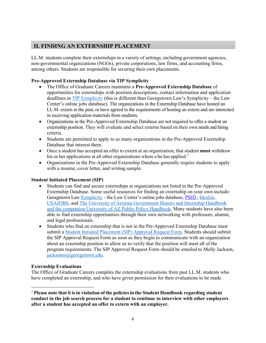# <span id="page-5-0"></span>**II. FINDING AN EXTERNSHIP PLACEMENT**

LL.M. students complete their externships in a variety of settings, including government agencies, non-governmental organizations (NGOs), private corporations, law firms, and accounting firms, among others. Students are responsible for securing their own placements.

# **Pre-Approved Externship Database via TIP Symplicity**

- The Office of Graduate Careers [maintains a](https://www.law.georgetown.edu/academics/academic-programs/graduate-programs/careers/graduate-connections/Externships/view-externships.cfm) **Pre-Approved Externship Database** of opportunities for externships with position descriptions, contact information and application deadlines in [TIP Symplicity](https://law-tip-csm.symplicity.com/students/) (this is different than Georgetown Law's Symplicity – the Law Center's online jobs database). The organizations in the Externship Database have hosted an LL.M. extern in the past, or have agreed to the requirements of hosting an extern and are interested in receiving application materials from students.
- Organizations in the Pre-Approved Externship Database are not required to offer a student an externship position. They will evaluate and select externs based on their own needs and hiring criteria.
- Students are permitted to apply to as many organizations in the Pre-Approved Externship Database that interest them.
- Once a student has accepted an offer to extern at an organization, that student **must** withdraw his or her applications at all other organizations where s/he has applied.<sup>[3](#page-5-1)</sup>
- Organizations in the Pre-Approved Externship Database generally require students to apply with a resume, cover letter, and writing sample.

# **Student Initiated Placement (SIP)**

- Students can find and secure externships at organizations not listed in the Pre-Approved Externship Database. Some useful resources for finding an externship on your own include: Georgetown Law [Symplicity](https://law-georgetown-csm.symplicity.com/students/?signin_tab=0) - the Law Center's online jobs database, [PSJD](https://www.psjd.org/) , [Idealist,](https://www.idealist.org/en/?type=INTERNSHIP) [USAJOBS,](https://www.usajobs.gov/Help/faq/search/internships/) and [The University of Arizona Government Honors and Internship Handbook](https://www.law.georgetown.edu/your-life-career/career-exploration-professional-development/for-jd-students/job-search-toolkit/find-jobs-and-research-employers/government/)  [and the companion University of AZ Public Policy Handbook.](https://www.law.georgetown.edu/your-life-career/career-exploration-professional-development/for-jd-students/job-search-toolkit/find-jobs-and-research-employers/government/) Many students have also been able to find externship opportunities through their own networking with professors, alumni, and legal professionals.
- Students who find an externship that is not in the Pre-Approved Externship Database must submit a Student Initiated Placement [\(SIP\) Approval Request Form.](https://www.law.georgetown.edu/experiential-learning/externships/for-ll-m-students/requirements-application-procedures-documents/sip-approval-request-form-2/) Students should submit the SIP Approval Request Form as soon as they begin to communicate with an organization about an externship position to allow us to verify that the position will meet all of the program requirements. The SIP Approval Request Form should be emailed to Molly Jackson, [jacksonm@georgetown.edu.](mailto:jacksonm@georgetown.edu)

# **Externship Evaluations**

l

The Office of Graduate Careers compiles the externship evaluations from past LL.M. students who have completed an externship, and who have given permission for their evaluations to be made

<span id="page-5-1"></span><sup>3</sup> **Please note that it isin violation of the policiesin the Student [Handbook](http://www.law.georgetown.edu/campus-services/registrar/handbook/upload/2015-2016-Student-Handbook-08-17-15.pdf) regarding student conduct in the job search process for a student to continue to interview with other employers after a student has accepted an offer to extern with an employer.**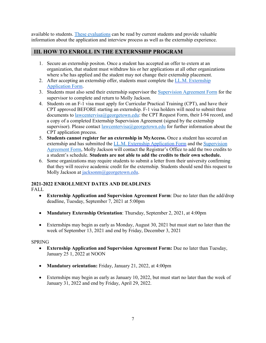available to students. [These evaluations](https://georgetown.app.box.com/folder/78725564989) can be read by current students and provide valuable information about the application and interview process as well as the externship experience.

# <span id="page-6-0"></span>**III. HOW TO ENROLL IN THE EXTERNSHIP PROGRAM**

- 1. Secure an externship positon. Once a student has accepted an offer to extern at an organization, that student must withdraw his or her applications at all other organizations where s/he has applied and the student may not change their externship placement.
- 2. After accepting an externship offer, students must complete the [LL.M. Externship](https://docs.google.com/a/georgetown.edu/forms/d/e/1FAIpQLSdNa00uZ4gg-b24fqZouStSVL37sb27P2R_LTQtiRxtEFOSiA/viewform?usp=send_form)  [Application Form.](https://docs.google.com/a/georgetown.edu/forms/d/e/1FAIpQLSdNa00uZ4gg-b24fqZouStSVL37sb27P2R_LTQtiRxtEFOSiA/viewform?usp=send_form)
- 3. Students must also send their externship supervisor the [Supervision Agreement Form](https://www.law.georgetown.edu/wp-content/uploads/2020/09/Supervision-Agreement-for-Externship-Field-Supervisors-2020-2021.pdf) for the supervisor to complete and return to Molly Jackson.
- 4. Students on an F-1 visa must apply for Curricular Practical Training (CPT), and have their CPT approved BEFORE starting an externship. F-1 visa holders will need to submit three documents to [lawcentervisa@georgetown.edu:](mailto:lawcentervisa@georgetown.edu) the CPT Request Form, their I-94 record, and a copy of a completed Externship Supervision Agreement (signed by the externship supervisor). Please contact [lawcentervisa@georgetown.edu](mailto:lawcentervisa@georgetown.edu) for further information about the CPT application process.
- 5. **Students cannot register for an externship in MyAccess.** Once a student has secured an externship and has submitted the [LL.M. Externship Application Form](https://docs.google.com/forms/d/139vcqM4N1pF3IblNJUI1Cxy-ByunidXQWlpkmmg8TNg/viewform?c=0&w=1) and the Supervision [Agreement Form,](https://www.law.georgetown.edu/wp-content/uploads/2020/09/Supervision-Agreement-for-Externship-Field-Supervisors-2020-2021.pdf) Molly Jackson will contact the Registrar's Office to add the two credits to a student's schedule. **Students are not able to add the credits to their own schedule.**
- 6. Some organizations may require students to submit a letter from their university confirming that they will receive academic credit for the externship. Students should send this request to Molly Jackson at [jacksonm@georgetown.edu.](mailto:jacksonm@georgetown.edu)

# **2021-2022 ENROLLMENT DATES AND DEADLINES**

FALL

- **Externship Application and Supervision Agreement Form**: Due no later than the add/drop deadline, Tuesday, September 7, 2021 at 5:00pm
- **Mandatory Externship Orientation**: Thursday, September 2, 2021, at 4:00pm
- Externships may begin as early as Monday, August 30, 2021 but must start no later than the week of September 13, 2021 and end by Friday, December 3, 2021

# **SPRING**

- **Externship Application and Supervision Agreement Form:** Due no later than Tuesday, January 25 1, 2022 at NOON
- **Mandatory orientation:** Friday, January 21, 2022, at 4:00pm
- Externships may begin as early as January 10, 2022, but must start no later than the week of January 31, 2022 and end by Friday, April 29, 2022.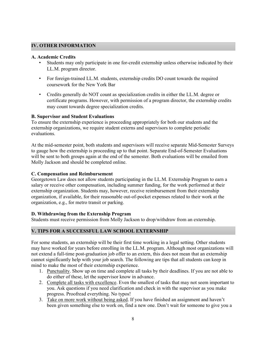# <span id="page-7-0"></span>**IV. OTHER INFORMATION**

#### <span id="page-7-1"></span>**A. Academic Credits**

- Students may only participate in one for-credit externship unless otherwise indicated by their LL.M. program director.
- For foreign-trained LL.M. students, externship credits DO count towards the required coursework for the New York Bar
- Credits generally do NOT count as specialization credits in either the LL.M. degree or certificate programs. However, with permission of a program director, the externship credits may count towards degree specialization credits.

# **B. Supervisor and Student Evaluations**

To ensure the externship experience is proceeding appropriately for both our students and the externship organizations, we require student externs and supervisors to complete periodic evaluations.

At the mid-semester point, both students and supervisors will receive separate Mid-Semester Surveys to gauge how the externship is proceeding up to that point. Separate End-of-Semester Evaluations will be sent to both groups again at the end of the semester. Both evaluations will be emailed from Molly Jackson and should be completed online.

# <span id="page-7-2"></span>**C. Compensation and Reimbursement**

Georgetown Law does not allow students participating in the LL.M. Externship Program to earn a salary or receive other compensation, including summer funding, for the work performed at their externship organization. Students may, however, receive reimbursement from their externship organization, if available, for their reasonable out-of-pocket expenses related to their work at the organization, e.g., for metro transit or parking.

# <span id="page-7-3"></span>**D. Withdrawing from the Externship Program**

Students must receive permission from Molly Jackson to drop/withdraw from an externship.

# <span id="page-7-4"></span>**V. TIPS FOR A SUCCESSFUL LAW SCHOOL EXTERNSHIP**

For some students, an externship will be their first time working in a legal setting. Other students may have worked for years before enrolling in the LL.M. program. Although most organizations will not extend a full-time post-graduation job offer to an extern, this does not mean that an externship cannot significantly help with your job search. The following are tips that all students can keep in mind to make the most of their externship experience.

- 1. Punctuality. Show up on time and complete all tasks by their deadlines. If you are not able to do either of these, let the supervisor know in advance.
- 2. Complete all tasks with excellence. Even the smallest of tasks that may not seem important to you. Ask questions if you need clarification and check in with the supervisor as you make progress. Proofread everything. No typos!
- 3. Take on more work without being asked. If you have finished an assignment and haven't been given something else to work on, find a new one. Don't wait for someone to give you a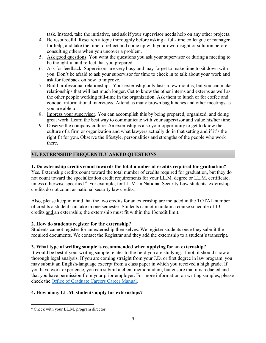task. Instead, take the initiative, and ask if your supervisor needs help on any other projects.

- 4. Be resourceful. Research a topic thoroughly before asking a full-time colleague or manager for help, and take the time to reflect and come up with your own insight or solution before consulting others when you uncover a problem.
- 5. Ask good questions. You want the questions you ask your supervisor or during a meeting to be thoughtful and reflect that you prepared.
- 6. Ask for feedback. Supervisors are very busy and may forget to make time to sit down with you. Don't be afraid to ask your supervisor for time to check in to talk about your work and ask for feedback on how to improve.
- 7. Build professional relationships. Your externship only lasts a few months, but you can make relationships that will last much longer. Get to know the other interns and externs as well as the other people working full-time in the organization. Ask them to lunch or for coffee and conduct informational interviews. Attend as many brown bag lunches and other meetings as you are able to.
- 8. Impress your supervisor. You can accomplish this by being prepared, organized, and doing great work. Learn the best way to communicate with your supervisor and value his/her time.
- 9. Observe the company culture. An externship is also your opportunity to get to know the culture of a firm or organization and what lawyers actually do in that setting and if it's the right fit for you. Observe the lifestyle, personalities and strengths of the people who work there.

# <span id="page-8-0"></span>**VI. EXTERNSHIP FREQUENTLY ASKED QUESTIONS**

# **1. Do externship credits count towards the total number of credits required for graduation?**

Yes. Externship credits count toward the total number of credits required for graduation, but they do not count toward the specialization credit requirements for your LL.M. degree or LL.M. certificate, unless otherwise specified. [4](#page-8-1) For example, for LL.M. in National Security Law students, externship credits do not count as national security law credits.

Also, please keep in mind that the two credits for an externship are included in the TOTAL number of credits a student can take in one semester. Students cannot maintain a course schedule of 13 credits and an externship; the externship must fit within the 13credit limit.

# **2. How do students register for the externship?**

Students cannot register for an externship themselves. We register students once they submit the required documents. We contact the Registrar and they add the externship to a student's transcript.

# **3. What type of writing sample is recommended when applying for an externship?**

It would be best if your writing sample relates to the field you are studying. If not, it should show a thorough legal analysis. If you are coming straight from your J.D. or first degree in law program, you may submit an English-language excerpt from a class paper in which you received a high grade. If you have work experience, you can submit a client memorandum, but ensure that it is redacted and that you have permission from your prior employer. For more information on writing samples, please check the [Office of Graduate Careers Career Manual.](https://www.law.georgetown.edu/wp-content/uploads/2018/08/2018-2019-Career-Manual.pdf)

# **4. How many LL.M. students apply for [externships?](https://www.law.georgetown.edu/academics/academic-programs/graduate-programs/externships/requirements.cfm)**

 $\overline{a}$ 

<span id="page-8-1"></span><sup>4</sup> Check with your LL.M. program director.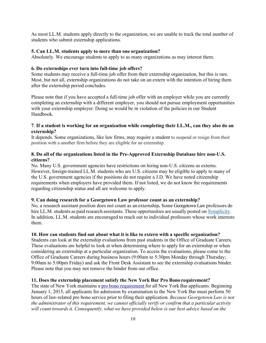As most LL.M. students apply directly to the organization, we are unable to track the total number of students who submit externship applications.

#### **5. Can LL.M. students apply to more than one organization?**

Absolutely. We encourage students to apply to as many organizations as may interest them.

#### **6. Do externships ever turn into full-time job offers?**

Some students may receive a full-time job offer from their externship organization, but this is rare. Most, but not all, externship organizations do not take on an extern with the intention of hiring them after the externship period concludes.

Please note that if you have accepted a full-time job offer with an employer while you are currently completing an externship with a different employer, you should not pursue employment opportunities with your externship employer. Doing so would be in violation of the policies in our Student Handbook.

#### **7**. **If a student is working for an organization while completing their LL.M., can they also do an externship?**

It depends. Some organizations, like law firms, may require a student to suspend or resign from their position with a another firm before they are eligible for an externship.

#### **8. Do all of the organizations listed in the Pre-Approved Externship Database hire non-U.S. citizens?**

No. Many U.S. government agencies have restrictions on hiring non-U.S. citizens as externs. However, foreign-trained LL.M. students who are U.S. citizens may be eligible to apply to many of the U.S. government agencies if the positions do not require a J.D. We have noted citizenship requirements when employers have provided them. If not listed, we do not know the requirements regarding citizenship status and all are welcome to apply.

# **9. Can doing research for a Georgetown Law professor count as an externship?**

No, a research assistant position does not count as an externship**.** Some Georgetown Law professors do hire LL.M. students as paid research assistants. These opportunities are usually posted on [Symplicity.](https://law-georgetown-csm.symplicity.com/students/?signin_tab=0) In addition, LL.M. students are encouraged to reach out to individual professors whose work interests them.

# **10. How can students find out about what it is like to extern with a specific organization?**

Students can look at the externship evaluations from past students in the Office of Graduate Careers. These evaluations are helpful to look at when determining where to apply for an externship or when considering an externship at a particular organization. To access the evaluations, please come to the Office of Graduate Careers during business hours (9:00am to 5:30pm Monday through Thursday; 9:00am to 5:00pm Friday) and ask the Front Desk Assistant to see the externship evaluations binder. Please note that you may not remove the binder from our office.

# **11. Does the externship placement satisfy the New York Bar Pro Bono requirement?**

The state of New York maintains a pro bono [requirement](http://www.nycourts.gov/attorneys/probono/baradmissionreqs.shtml) for all New York Bar applicants. Beginning January 1, 2015, all applicants for admission by examination to the New York Bar must perform 50 hours of law-related pro bono service prior to filing their application. *Because Georgetown Law is not the administrator of this requirement, we cannot officially verify or confirm that a particular activity will count towards it. Consequently, what we have provided below is our best advice based on the*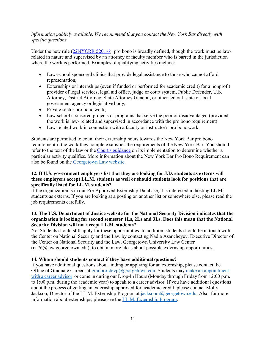# *information publicly available. We recommend that you contact the New York Bar directly with specific questions.*

Under the new rule [\(22NYCRR 520.16\)](http://www.nycourts.gov/attorneys/probono/Rule520_16.pdf), pro bono is broadly defined, though the work must be lawrelated in nature and supervised by an attorney or faculty member who is barred in the jurisdiction where the work is performed. Examples of qualifying activities include:

- Law-school sponsored clinics that provide legal assistance to those who cannot afford representation;
- Externships or internships (even if funded or performed for academic credit) for a nonprofit provider of legal services, legal aid office, judge or court system, Public Defender, U.S. Attorney, District Attorney, State Attorney General, or other federal, state or local government agency or legislative body;
- Private sector pro bono work;
- Law school sponsored projects or programs that serve the poor or disadvantaged (provided the work is law- related and supervised in accordance with the pro bono requirement);
- Law-related work in connection with a faculty or instructor's pro bono work.

Students are permitted to count their externship hours towards the New York Bar pro bono requirement if the work they complete satisfies the requirements of the New York Bar. You should refer to the text of the law or the [Court's guidance](http://www.nycourts.gov/attorneys/probono/FAQsBarAdmission.pdf) on its implementation to determine whether a particular activity qualifies. More information about the New York Bar Pro Bono Requirement can also be found on the [Georgetown Law website.](https://www.law.georgetown.edu/experiential-learning/pro-bono-community-service/new-york-bar-pro-bono-admission-requirement/)

#### **12. If U.S. government employers list that they are looking for J.D. students as externs will these employers accept LL.M. students as well or should students look for positions that are specifically listed for LL.M. students?**

If the organization is in our [Pre-Approved Externship Database,](https://www.law.georgetown.edu/academics/academic-programs/graduate-programs/careers/graduate-connections/Externships/view-externships.cfm) it is interested in hosting LL.M. students as externs. If you are looking at a posting on another list or somewhere else, please read the job requirements carefully.

# **13. The U.S. Department of Justice website for the National Security Division indicates that the organization is looking for second semester 1Ls, 2Ls and 3Ls. Does this mean that the National Security Division will not accept LL.M. students?**

No. Students should still apply for these opportunities. In addition, students should be in touch with the [Center on National](http://www.law.georgetown.edu/academics/centers-institutes/national-security/index.cfm) [Security and the Law](http://www.law.georgetown.edu/academics/centers-institutes/national-security/index.cfm) by contacting Nadia Asancheyev, Executive Director of the Center on National Security and the Law, Georgetown University Law Center [\(na76@law.georgetown.edu\)](mailto:na76@law.georgetown.edu), to obtain more ideas about possible externship opportunities.

# **14. Whom should students contact if they have additional questions?**

If you have additional questions about finding or applying for an externship, please contact the Office of Graduate Careers at [gradprofdevp@georgetown.edu.](mailto:gradprofdevp@georgetown.edu.) Students may [make an appointment](https://www.law.georgetown.edu/your-life-career/career-exploration-professional-development/for-ll-m-students/appointments/) with a career [advisor](https://www.law.georgetown.edu/your-life-career/career-exploration-professional-development/for-ll-m-students/appointments/) or come in during our Drop-In Hours (Monday through Friday from 12:00 p.m. to 1:00 p.m. during the academic year) to speak to a career advisor. If you have additional questions about the process of getting an externship approved for academic credit, please contact Molly Jackson, Director of the LL.M. Externship Program at [jacksonm@georgetown.edu.](mailto:jacksonm@georgetown.edu.) Also, for more information about externships, please see the [LL.M. Externship Program.](https://www.law.georgetown.edu/experiential-learning/externships/for-ll-m-students/)